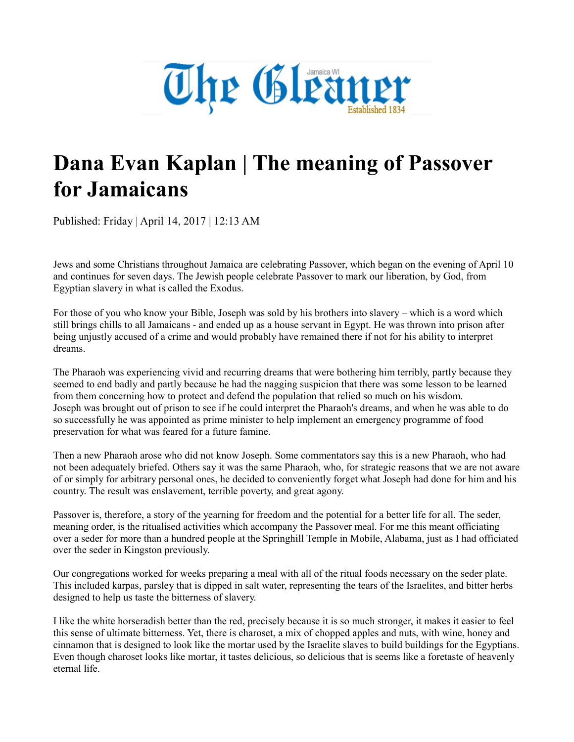

## **Dana Evan Kaplan | The meaning of Passover for Jamaicans**

Published: Friday | April 14, 2017 | 12:13 AM

Jews and some Christians throughout Jamaica are celebrating Passover, which began on the evening of April 10 and continues for seven days. The Jewish people celebrate Passover to mark our liberation, by God, from Egyptian slavery in what is called the Exodus.

For those of you who know your Bible, Joseph was sold by his brothers into slavery – which is a word which still brings chills to all Jamaicans - and ended up as a house servant in Egypt. He was thrown into prison after being unjustly accused of a crime and would probably have remained there if not for his ability to interpret dreams.

The Pharaoh was experiencing vivid and recurring dreams that were bothering him terribly, partly because they seemed to end badly and partly because he had the nagging suspicion that there was some lesson to be learned from them concerning how to protect and defend the population that relied so much on his wisdom. Joseph was brought out of prison to see if he could interpret the Pharaoh's dreams, and when he was able to do so successfully he was appointed as prime minister to help implement an emergency programme of food preservation for what was feared for a future famine.

Then a new Pharaoh arose who did not know Joseph. Some commentators say this is a new Pharaoh, who had not been adequately briefed. Others say it was the same Pharaoh, who, for strategic reasons that we are not aware of or simply for arbitrary personal ones, he decided to conveniently forget what Joseph had done for him and his country. The result was enslavement, terrible poverty, and great agony.

Passover is, therefore, a story of the yearning for freedom and the potential for a better life for all. The seder, meaning order, is the ritualised activities which accompany the Passover meal. For me this meant officiating over a seder for more than a hundred people at the Springhill Temple in Mobile, Alabama, just as I had officiated over the seder in Kingston previously.

Our congregations worked for weeks preparing a meal with all of the ritual foods necessary on the seder plate. This included karpas, parsley that is dipped in salt water, representing the tears of the Israelites, and bitter herbs designed to help us taste the bitterness of slavery.

I like the white horseradish better than the red, precisely because it is so much stronger, it makes it easier to feel this sense of ultimate bitterness. Yet, there is charoset, a mix of chopped apples and nuts, with wine, honey and cinnamon that is designed to look like the mortar used by the Israelite slaves to build buildings for the Egyptians. Even though charoset looks like mortar, it tastes delicious, so delicious that is seems like a foretaste of heavenly eternal life.